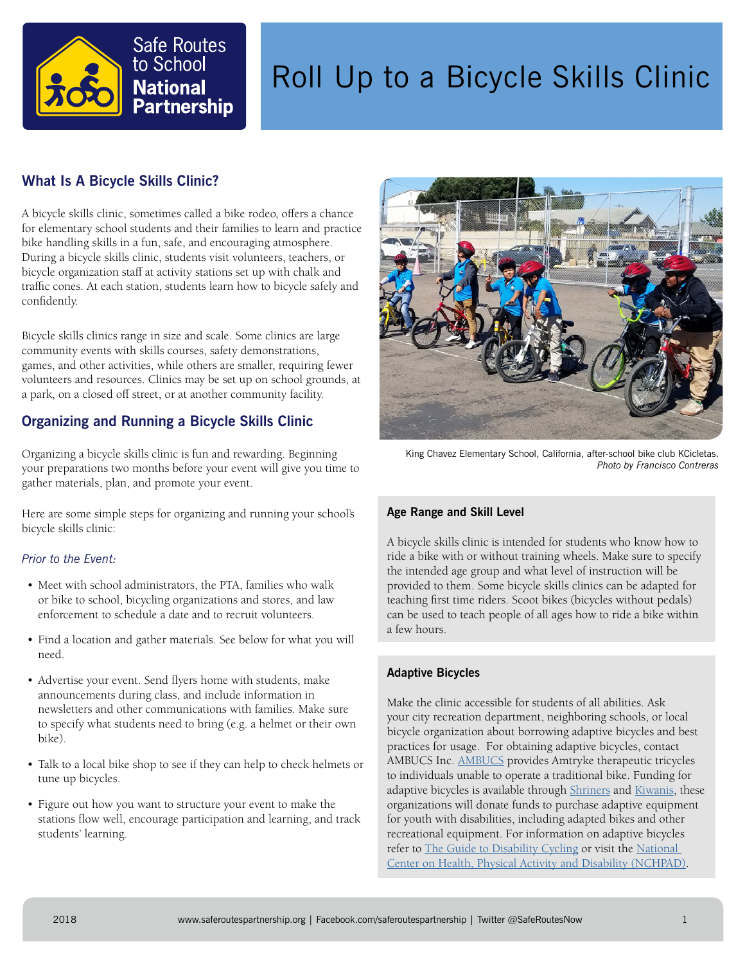

# Roll Up to a Bicycle Skills Clinic

# **What Is A Bicycle Skills Clinic?**

A bicycle skills clinic, sometimes called a bike rodeo, offers a chance for elementary school students and their families to learn and practice bike handling skills in a fun, safe, and encouraging atmosphere. During a bicycle skills clinic, students visit volunteers, teachers, or bicycle organization staff at activity stations set up with chalk and traffic cones. At each station, students learn how to bicycle safely and confidently.

Bicycle skills clinics range in size and scale. Some clinics are large community events with skills courses, safety demonstrations, games, and other activities, while others are smaller, requiring fewer volunteers and resources. Clinics may be set up on school grounds, at a park, on a closed off street, or at another community facility.

# **Organizing and Running a Bicycle Skills Clinic**

Organizing a bicycle skills clinic is fun and rewarding. Beginning your preparations two months before your event will give you time to gather materials, plan, and promote your event.

Here are some simple steps for organizing and running your school's bicycle skills clinic:

## *Prior to the Event:*

- Meet with school administrators, the PTA, families who walk or bike to school, bicycling organizations and stores, and law enforcement to schedule a date and to recruit volunteers.
- Find a location and gather materials. See below for what you will need.
- Advertise your event. Send flyers home with students, make announcements during class, and include information in newsletters and other communications with families. Make sure to specify what students need to bring (e.g. a helmet or their own bike).
- Talk to a local bike shop to see if they can help to check helmets or tune up bicycles.
- Figure out how you want to structure your event to make the stations flow well, encourage participation and learning, and track students' learning.



King Chavez Elementary School, California, after-school bike club KCicletas. *Photo by Francisco Contreras*

#### **Age Range and Skill Level**

A bicycle skills clinic is intended for students who know how to ride a bike with or without training wheels. Make sure to specify the intended age group and what level of instruction will be provided to them. Some bicycle skills clinics can be adapted for teaching first time riders. Scoot bikes (bicycles without pedals) can be used to teach people of all ages how to ride a bike within a few hours.

#### **Adaptive Bicycles**

Make the clinic accessible for students of all abilities. Ask your city recreation department, neighboring schools, or local bicycle organization about borrowing adaptive bicycles and best practices for usage. For obtaining adaptive bicycles, contact AMBUCS Inc. [AMBUCS](https://ambucs.org/) provides Amtryke therapeutic tricycles to individuals unable to operate a traditional bike. Funding for adaptive bicycles is available through [Shriners](http://www.shrinershq.org) and [Kiwanis,](http://www.kiwanis.org) these organizations will donate funds to purchase adaptive equipment for youth with disabilities, including adapted bikes and other recreational equipment. For information on adaptive bicycles refer to [The Guide to Disability Cycling](http://www.getcycling.org.uk/media/bikes-not-barriers.pdf) or visit the National [Center on Health, Physical Activity and Disability \(NCHPAD\).](https://www.nchpad.org/)